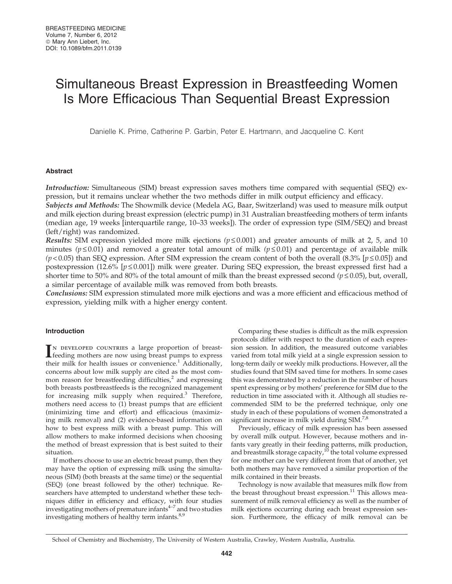# Simultaneous Breast Expression in Breastfeeding Women Is More Efficacious Than Sequential Breast Expression

Danielle K. Prime, Catherine P. Garbin, Peter E. Hartmann, and Jacqueline C. Kent

## Abstract

Introduction: Simultaneous (SIM) breast expression saves mothers time compared with sequential (SEQ) expression, but it remains unclear whether the two methods differ in milk output efficiency and efficacy.

Subjects and Methods: The Showmilk device (Medela AG, Baar, Switzerland) was used to measure milk output and milk ejection during breast expression (electric pump) in 31 Australian breastfeeding mothers of term infants (median age, 19 weeks [interquartile range, 10–33 weeks]). The order of expression type (SIM/SEQ) and breast (left/right) was randomized.

Results: SIM expression yielded more milk ejections ( $p \le 0.001$ ) and greater amounts of milk at 2, 5, and 10 minutes ( $p \le 0.01$ ) and removed a greater total amount of milk ( $p \le 0.01$ ) and percentage of available milk  $(p<0.05)$  than SEQ expression. After SIM expression the cream content of both the overall (8.3% [ $p \le 0.05$ ]) and postexpression (12.6%  $[p \le 0.001]$ ) milk were greater. During SEQ expression, the breast expressed first had a shorter time to 50% and 80% of the total amount of milk than the breast expressed second ( $p \le 0.05$ ), but, overall, a similar percentage of available milk was removed from both breasts.

Conclusions: SIM expression stimulated more milk ejections and was a more efficient and efficacious method of expression, yielding milk with a higher energy content.

## Introduction

 $\prod_{n=1}^{\infty}$  DEVELOPED COUNTRIES a large proportion of breast-<br>feeding mothers are now using breast pumps to express feeding mothers are now using breast pumps to express their milk for health issues or convenience.<sup>1</sup> Additionally, concerns about low milk supply are cited as the most common reason for breastfeeding difficulties, $<sup>2</sup>$  and expressing</sup> both breasts postbreastfeeds is the recognized management for increasing milk supply when required. $3$  Therefore, mothers need access to (1) breast pumps that are efficient (minimizing time and effort) and efficacious (maximizing milk removal) and (2) evidence-based information on how to best express milk with a breast pump. This will allow mothers to make informed decisions when choosing the method of breast expression that is best suited to their situation.

If mothers choose to use an electric breast pump, then they may have the option of expressing milk using the simultaneous (SIM) (both breasts at the same time) or the sequential (SEQ) (one breast followed by the other) technique. Researchers have attempted to understand whether these techniques differ in efficiency and efficacy, with four studies investigating mothers of premature infants $4-7$  and two studies investigating mothers of healthy term infants.<sup>8,9</sup>

Comparing these studies is difficult as the milk expression protocols differ with respect to the duration of each expression session. In addition, the measured outcome variables varied from total milk yield at a single expression session to long-term daily or weekly milk productions. However, all the studies found that SIM saved time for mothers. In some cases this was demonstrated by a reduction in the number of hours spent expressing or by mothers' preference for SIM due to the reduction in time associated with it. Although all studies recommended SIM to be the preferred technique, only one study in each of these populations of women demonstrated a significant increase in milk yield during  $SIM.^{7,8}$ 

Previously, efficacy of milk expression has been assessed by overall milk output. However, because mothers and infants vary greatly in their feeding patterns, milk production, and breastmilk storage capacity,<sup>10</sup> the total volume expressed for one mother can be very different from that of another, yet both mothers may have removed a similar proportion of the milk contained in their breasts.

Technology is now available that measures milk flow from the breast throughout breast expression. $11$  This allows measurement of milk removal efficiency as well as the number of milk ejections occurring during each breast expression session. Furthermore, the efficacy of milk removal can be

School of Chemistry and Biochemistry, The University of Western Australia, Crawley, Western Australia, Australia.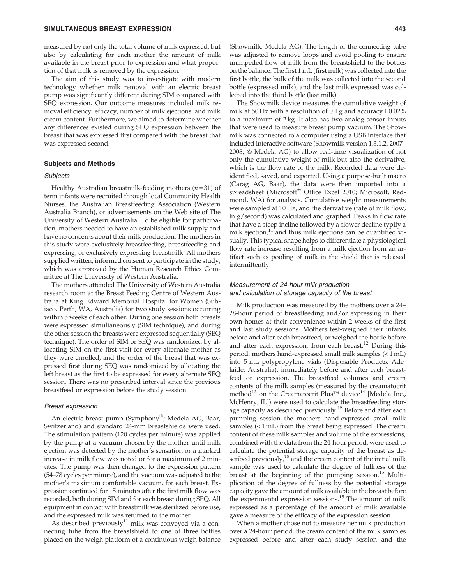measured by not only the total volume of milk expressed, but also by calculating for each mother the amount of milk available in the breast prior to expression and what proportion of that milk is removed by the expression.

The aim of this study was to investigate with modern technology whether milk removal with an electric breast pump was significantly different during SIM compared with SEQ expression. Our outcome measures included milk removal efficiency, efficacy, number of milk ejections, and milk cream content. Furthermore, we aimed to determine whether any differences existed during SEQ expression between the breast that was expressed first compared with the breast that was expressed second.

## Subjects and Methods

#### **Subjects**

Healthy Australian breastmilk-feeding mothers  $(n=31)$  of term infants were recruited through local Community Health Nurses, the Australian Breastfeeding Association (Western Australia Branch), or advertisements on the Web site of The University of Western Australia. To be eligible for participation, mothers needed to have an established milk supply and have no concerns about their milk production. The mothers in this study were exclusively breastfeeding, breastfeeding and expressing, or exclusively expressing breastmilk. All mothers supplied written, informed consent to participate in the study, which was approved by the Human Research Ethics Committee at The University of Western Australia.

The mothers attended The University of Western Australia research room at the Breast Feeding Centre of Western Australia at King Edward Memorial Hospital for Women (Subiaco, Perth, WA, Australia) for two study sessions occurring within 5 weeks of each other. During one session both breasts were expressed simultaneously (SIM technique), and during the other session the breasts were expressed sequentially (SEQ technique). The order of SIM or SEQ was randomized by allocating SIM on the first visit for every alternate mother as they were enrolled, and the order of the breast that was expressed first during SEQ was randomized by allocating the left breast as the first to be expressed for every alternate SEQ session. There was no prescribed interval since the previous breastfeed or expression before the study session.

#### Breast expression

An electric breast pump (Symphony®; Medela AG, Baar, Switzerland) and standard 24-mm breastshields were used. The stimulation pattern (120 cycles per minute) was applied by the pump at a vacuum chosen by the mother until milk ejection was detected by the mother's sensation or a marked increase in milk flow was noted or for a maximum of 2 minutes. The pump was then changed to the expression pattern (54–78 cycles per minute), and the vacuum was adjusted to the mother's maximum comfortable vacuum, for each breast. Expression continued for 15 minutes after the first milk flow was recorded, both during SIM and for each breast during SEQ. All equipment in contact with breastmilk was sterilized before use, and the expressed milk was returned to the mother.

As described previously<sup>11</sup> milk was conveyed via a connecting tube from the breastshield to one of three bottles placed on the weigh platform of a continuous weigh balance

(Showmilk; Medela AG). The length of the connecting tube was adjusted to remove loops and avoid pooling to ensure unimpeded flow of milk from the breastshield to the bottles on the balance. The first 1 mL (first milk) was collected into the first bottle, the bulk of the milk was collected into the second bottle (expressed milk), and the last milk expressed was collected into the third bottle (last milk).

The Showmilk device measures the cumulative weight of milk at 50 Hz with a resolution of 0.1 g and accuracy  $\pm$  0.02% to a maximum of 2 kg. It also has two analog sensor inputs that were used to measure breast pump vacuum. The Showmilk was connected to a computer using a USB interface that included interactive software (Showmilk version 1.3.1.2, 2007–  $2008$ ;  $\odot$  Medela AG) to allow real-time visualization of not only the cumulative weight of milk but also the derivative, which is the flow rate of the milk. Recorded data were deidentified, saved, and exported. Using a purpose-built macro (Carag AG, Baar), the data were then imported into a spreadsheet (Microsoft® Office Excel 2010; Microsoft, Redmond, WA) for analysis. Cumulative weight measurements were sampled at 10 Hz, and the derivative (rate of milk flow, in g/second) was calculated and graphed. Peaks in flow rate that have a steep incline followed by a slower decline typify a milk ejection, $11$  and thus milk ejections can be quantified visually. This typical shape helps to differentiate a physiological flow rate increase resulting from a milk ejection from an artifact such as pooling of milk in the shield that is released intermittently.

## Measurement of 24-hour milk production and calculation of storage capacity of the breast

Milk production was measured by the mothers over a 24– 28-hour period of breastfeeding and/or expressing in their own homes at their convenience within 2 weeks of the first and last study sessions. Mothers test-weighed their infants before and after each breastfeed, or weighed the bottle before and after each expression, from each breast.<sup>12</sup> During this period, mothers hand-expressed small milk samples (< 1 mL) into 5-mL polypropylene vials (Disposable Products, Adelaide, Australia), immediately before and after each breastfeed or expression. The breastfeed volumes and cream contents of the milk samples (measured by the creamatocrit method<sup>13</sup> on the Creamatocrit Plus<sup>TM</sup> device<sup>14</sup> [Medela Inc., McHenry, IL]) were used to calculate the breastfeeding storage capacity as described previously.<sup>15</sup> Before and after each pumping session the mothers hand-expressed small milk samples (<1 mL) from the breast being expressed. The cream content of these milk samples and volume of the expressions, combined with the data from the 24-hour period, were used to calculate the potential storage capacity of the breast as described previously,<sup>15</sup> and the cream content of the initial milk sample was used to calculate the degree of fullness of the breast at the beginning of the pumping session.<sup>15</sup> Multiplication of the degree of fullness by the potential storage capacity gave the amount of milk available in the breast before the experimental expression sessions.<sup>15</sup> The amount of milk expressed as a percentage of the amount of milk available gave a measure of the efficacy of the expression session.

When a mother chose not to measure her milk production over a 24-hour period, the cream content of the milk samples expressed before and after each study session and the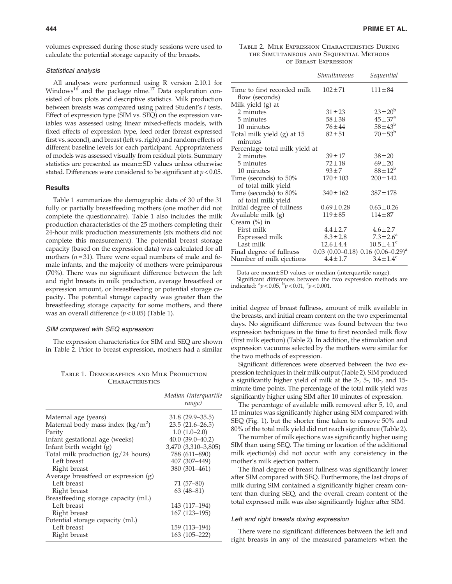volumes expressed during those study sessions were used to calculate the potential storage capacity of the breasts.

#### Statistical analysis

All analyses were performed using R version 2.10.1 for Windows<sup>16</sup> and the package nlme.<sup>17</sup> Data exploration consisted of box plots and descriptive statistics. Milk production between breasts was compared using paired Student's t tests. Effect of expression type (SIM vs. SEQ) on the expression variables was assessed using linear mixed-effects models, with fixed effects of expression type, feed order (breast expressed first vs. second), and breast (left vs. right) and random effects of different baseline levels for each participant. Appropriateness of models was assessed visually from residual plots. Summary statistics are presented as mean ± SD values unless otherwise stated. Differences were considered to be significant at  $p < 0.05$ .

## **Results**

Table 1 summarizes the demographic data of 30 of the 31 fully or partially breastfeeding mothers (one mother did not complete the questionnaire). Table 1 also includes the milk production characteristics of the 25 mothers completing their 24-hour milk production measurements (six mothers did not complete this measurement). The potential breast storage capacity (based on the expression data) was calculated for all mothers  $(n=31)$ . There were equal numbers of male and female infants, and the majority of mothers were primiparous (70%). There was no significant difference between the left and right breasts in milk production, average breastfeed or expression amount, or breastfeeding or potential storage capacity. The potential storage capacity was greater than the breastfeeding storage capacity for some mothers, and there was an overall difference  $(p < 0.05)$  (Table 1).

#### SIM compared with SEQ expression

The expression characteristics for SIM and SEQ are shown in Table 2. Prior to breast expression, mothers had a similar

Table 1. Demographics and Milk Production **CHARACTERISTICS** 

|                                      | Median (interquartile<br>range) |
|--------------------------------------|---------------------------------|
| Maternal age (years)                 | $31.8(29.9 - 35.5)$             |
| Maternal body mass index $(kg/m^2)$  | $23.5(21.6 - 26.5)$             |
| Parity                               | $1.0(1.0-2.0)$                  |
| Infant gestational age (weeks)       | $40.0(39.0-40.2)$               |
| Infant birth weight $(g)$            | 3,470 (3,310-3,805)             |
| Total milk production $(g/24$ hours) | 788 (611-890)                   |
| Left breast                          | 407 (307-449)                   |
| Right breast                         | 380 (301-461)                   |
| Average breastfeed or expression (g) |                                 |
| Left breast                          | 71 (57–80)                      |
| Right breast                         | $63(48-81)$                     |
| Breastfeeding storage capacity (mL)  |                                 |
| Left breast                          | 143 (117-194)                   |
| Right breast                         | 167 (123-195)                   |
| Potential storage capacity (mL)      |                                 |
| Left breast                          | 159 (113–194)                   |
| Right breast                         | 163 (105–222)                   |

| TABLE 2. MILK EXPRESSION CHARACTERISTICS DURING |
|-------------------------------------------------|
| THE SIMULTANEOUS AND SEQUENTIAL METHODS         |
| OF BREAST EXPRESSION                            |

|                                              | Simultaneous    | Sequential                                       |  |  |
|----------------------------------------------|-----------------|--------------------------------------------------|--|--|
| Time to first recorded milk                  | $102 \pm 71$    | $111 \pm 84$                                     |  |  |
| flow (seconds)                               |                 |                                                  |  |  |
| Milk yield (g) at                            |                 |                                                  |  |  |
| 2 minutes                                    | $31 \pm 23$     | $23 \pm 20^{6}$                                  |  |  |
| 5 minutes                                    | $58 + 38$       | $45 \pm 37^{\rm a}$                              |  |  |
| 10 minutes                                   | $76 \pm 44$     | $58 \pm 43^{\rm b}$                              |  |  |
| Total milk yield (g) at 15<br>minutes        | $82 + 51$       | $70 \pm 53^{\rm b}$                              |  |  |
| Percentage total milk yield at               |                 |                                                  |  |  |
| 2 minutes                                    | $39 \pm 17$     | $38 \pm 20$                                      |  |  |
| 5 minutes                                    | $72 \pm 18$     | $69 + 20$                                        |  |  |
| 10 minutes                                   | $93 \pm 7$      | $88 \pm 12^{b}$                                  |  |  |
| Time (seconds) to 50%                        | $170 \pm 103$   | $200 \pm 142$                                    |  |  |
| of total milk yield                          |                 |                                                  |  |  |
| Time (seconds) to 80%<br>of total milk yield | $340 \pm 162$   | $387 \pm 178$                                    |  |  |
|                                              |                 | $0.63 \pm 0.26$                                  |  |  |
| Initial degree of fullness                   | $0.69 \pm 0.28$ |                                                  |  |  |
| Available milk (g)                           | $119 \pm 85$    | $114 \pm 87$                                     |  |  |
| Cream $(\% )$ in                             |                 |                                                  |  |  |
| First milk                                   | $4.4 \pm 2.7$   | $4.6 \pm 2.7$                                    |  |  |
| Expressed milk                               | $8.3 \pm 2.8$   | $7.3 \pm 2.6^a$                                  |  |  |
| Last milk                                    | $12.6 \pm 4.4$  | $10.5 \pm 4.1$ <sup>c</sup>                      |  |  |
| Final degree of fullness                     |                 | $0.03$ (0.00–0.18) 0.16 (0.06–0.29) <sup>a</sup> |  |  |
| Number of milk ejections                     | $4.4 \pm 1.7$   | $3.4 \pm 1.4^c$                                  |  |  |

Data are mean  $\pm$  SD values or median (interquartile range).

Significant differences between the two expression methods are indicated:  ${}^{a}p$  < 0.05,  ${}^{b}p$  < 0.01,  ${}^{c}p$  < 0.001.

initial degree of breast fullness, amount of milk available in the breasts, and initial cream content on the two experimental days. No significant difference was found between the two expression techniques in the time to first recorded milk flow (first milk ejection) (Table 2). In addition, the stimulation and expression vacuums selected by the mothers were similar for the two methods of expression.

Significant differences were observed between the two expression techniques in their milk output (Table 2). SIM produced a significantly higher yield of milk at the 2-, 5-, 10-, and 15 minute time points. The percentage of the total milk yield was significantly higher using SIM after 10 minutes of expression.

The percentage of available milk removed after 5, 10, and 15 minutes was significantly higher using SIM compared with SEQ (Fig. 1), but the shorter time taken to remove 50% and 80% of the total milk yield did not reach significance (Table 2).

The number of milk ejections was significantly higher using SIM than using SEQ. The timing or location of the additional milk ejection(s) did not occur with any consistency in the mother's milk ejection pattern.

The final degree of breast fullness was significantly lower after SIM compared with SEQ. Furthermore, the last drops of milk during SIM contained a significantly higher cream content than during SEQ, and the overall cream content of the total expressed milk was also significantly higher after SIM.

#### Left and right breasts during expression

There were no significant differences between the left and right breasts in any of the measured parameters when the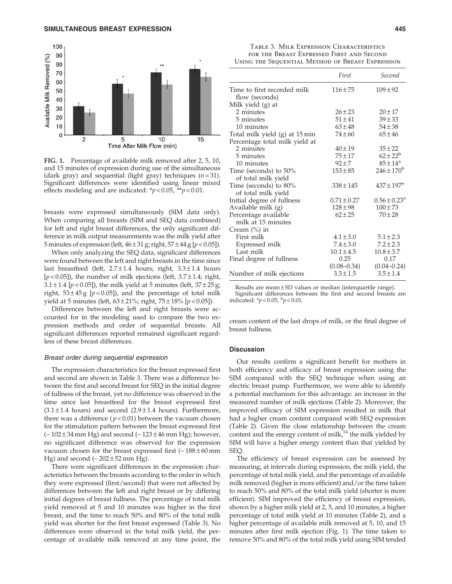

FIG. 1. Percentage of available milk removed after 2, 5, 10, and 15 minutes of expression during use of the simultaneous (dark gray) and sequential (light gray) techniques  $(n=31)$ . Significant differences were identified using linear mixed effects modeling and are indicated:  $\frac{*p}{<}0.05$ ,  $\frac{*p}{<}0.01$ .

breasts were expressed simultaneously (SIM data only). When comparing all breasts (SIM and SEQ data combined) for left and right breast differences, the only significant difference in milk output measurements was the milk yield after 5 minutes of expression (left,  $46 \pm 31$  g; right,  $57 \pm 44$  g [ $p < 0.05$ ]).

When only analyzing the SEQ data, significant differences were found between the left and right breasts in the time since last breastfeed (left,  $2.7 \pm 1.4$  hours; right,  $3.3 \pm 1.4$  hours [ $p$  < 0.05]), the number of milk ejections (left,  $3.7 \pm 1.4$ ; right,  $3.1 \pm 1.4$  [ $p < 0.05$ ]), the milk yield at 5 minutes (left,  $37 \pm 25$  g; right,  $53 \pm 45$  g [ $p < 0.05$ ]), and the percentage of total milk yield at 5 minutes (left,  $63 \pm 21\%$ ; right,  $75 \pm 18\%$  [ $p < 0.05$ ]).

Differences between the left and right breasts were accounted for in the modeling used to compare the two expression methods and order of sequential breasts. All significant differences reported remained significant regardless of these breast differences.

#### Breast order during sequential expression

The expression characteristics for the breast expressed first and second are shown in Table 3. There was a difference between the first and second breast for SEQ in the initial degree of fullness of the breast, yet no difference was observed in the time since last breastfeed for the breast expressed first  $(3.1 \pm 1.4$  hours) and second  $(2.9 \pm 1.4$  hours). Furthermore, there was a difference ( $p < 0.01$ ) between the vacuum chosen for the stimulation pattern between the breast expressed first  $(-102 \pm 34 \text{ mm Hg})$  and second  $(-123 \pm 46 \text{ mm Hg})$ ; however, no significant difference was observed for the expression vacuum chosen for the breast expressed first  $(-188 \pm 60 \text{ mm})$ Hg) and second  $(-202 \pm 52 \text{ mm Hg}).$ 

There were significant differences in the expression characteristics between the breasts according to the order in which they were expressed (first/second) that were not affected by differences between the left and right breast or by differing initial degrees of breast fullness. The percentage of total milk yield removed at 5 and 10 minutes was higher in the first breast, and the time to reach 50% and 80% of the total milk yield was shorter for the first breast expressed (Table 3). No differences were observed in the total milk yield, the percentage of available milk removed at any time point, the

| TABLE 3. MILK EXPRESSION CHARACTERISTICS         |
|--------------------------------------------------|
| FOR THE BREAST EXPRESSED FIRST AND SECOND        |
| USING THE SEOUENTIAL METHOD OF BREAST EXPRESSION |

|                                               | First           | Second                     |
|-----------------------------------------------|-----------------|----------------------------|
| Time to first recorded milk<br>flow (seconds) | $116 \pm 75$    | $109 \pm 92$               |
| Milk yield (g) at                             |                 |                            |
| 2 minutes                                     | $26 \pm 23$     | $20 \pm 17$                |
| 5 minutes                                     | $51 \pm 41$     | $39 \pm 33$                |
| 10 minutes                                    | $63 \pm 48$     | $54 \pm 38$                |
| Total milk yield (g) at 15 min                | $74 \pm 60$     | $65 \pm 46$                |
| Percentage total milk yield at                |                 |                            |
| 2 minutes                                     | $40 \pm 19$     | $35 + 22$                  |
| 5 minutes                                     | 75 ± 17         | $62 \pm 22^{\rm b}$        |
| 10 minutes                                    | $92 + 7$        | $85 \pm 14^{\circ}$        |
| Time (seconds) to 50%                         | $153 \pm 85$    | $246 \pm 170^{\rm b}$      |
| of total milk yield                           |                 |                            |
| Time (seconds) to 80%                         | $338 \pm 145$   | $437 \pm 197$ <sup>a</sup> |
| of total milk yield                           |                 |                            |
| Initial degree of fullness                    | $0.71 \pm 0.27$ | $0.56 \pm 0.23^{\circ}$    |
| Available milk (g)                            | $128 \pm 98$    | $100 \pm 73$               |
| Percentage available                          | $62 \pm 25$     | $70 + 28$                  |
| milk at 15 minutes                            |                 |                            |
| Cream $(\%)$ in                               |                 |                            |
| First milk                                    | $4.1 \pm 3.0$   | $5.1 \pm 2.3$              |
| Expressed milk                                | $7.4 \pm 3.0$   | $7.2 \pm 2.3$              |
| Last milk                                     | $10.1 \pm 4.5$  | $10.8 \pm 3.7$             |
| Final degree of fullness                      | 0.25            | 0.17                       |
|                                               | $(0.08 - 0.34)$ | $(0.04 - 0.24)$            |
| Number of milk ejections                      | $3.3 \pm 1.5$   | $3.5 \pm 1.4$              |

Results are mean  $\pm$  SD values or median (interquartile range). Significant differences between the first and second breasts are indicated:  ${}^{a}p$  < 0.05,  ${}^{b}p$  < 0.01.

cream content of the last drops of milk, or the final degree of breast fullness.

## Discussion

Our results confirm a significant benefit for mothers in both efficiency and efficacy of breast expression using the SIM compared with the SEQ technique when using an electric breast pump. Furthermore, we were able to identify a potential mechanism for this advantage: an increase in the measured number of milk ejections (Table 2). Moreover, the improved efficacy of SIM expression resulted in milk that had a higher cream content compared with SEQ expression (Table 2). Given the close relationship between the cream content and the energy content of milk, $14$  the milk yielded by SIM will have a higher energy content than that yielded by SEQ.

The efficiency of breast expression can be assessed by measuring, at intervals during expression, the milk yield, the percentage of total milk yield, and the percentage of available milk removed (higher is more efficient) and/or the time taken to reach 50% and 80% of the total milk yield (shorter is more efficient). SIM improved the efficiency of breast expression, shown by a higher milk yield at 2, 5, and 10 minutes, a higher percentage of total milk yield at 10 minutes (Table 2), and a higher percentage of available milk removed at 5, 10, and 15 minutes after first milk ejection (Fig. 1). The time taken to remove 50% and 80% of the total milk yield using SIM tended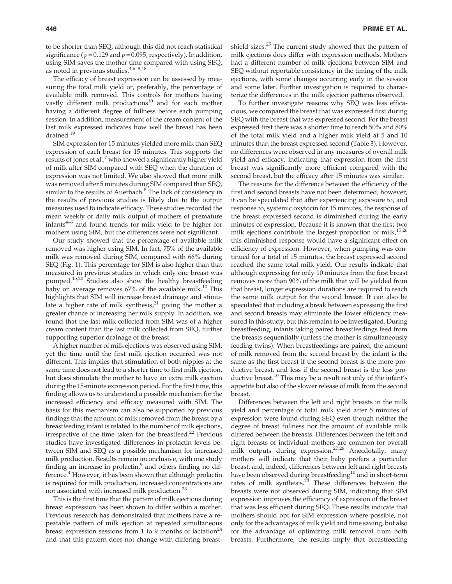to be shorter than SEQ, although this did not reach statistical significance ( $p = 0.129$  and  $p = 0.095$ , respectively). In addition, using SIM saves the mother time compared with using SEQ, as noted in previous studies.<sup>4,6-8,18</sup>

The efficacy of breast expression can be assessed by measuring the total milk yield or, preferably, the percentage of available milk removed. This controls for mothers having vastly different milk productions<sup>10</sup> and for each mother having a different degree of fullness before each pumping session. In addition, measurement of the cream content of the last milk expressed indicates how well the breast has been drained.<sup>19</sup>

SIM expression for 15 minutes yielded more milk than SEQ expression of each breast for 15 minutes. This supports the results of Jones et al.,<sup>7</sup> who showed a significantly higher yield of milk after SIM compared with SEQ when the duration of expression was not limited. We also showed that more milk was removed after 5 minutes during SIM compared than SEQ, similar to the results of Auerbach.<sup>8</sup> The lack of consistency in the results of previous studies is likely due to the output measures used to indicate efficacy. These studies recorded the mean weekly or daily milk output of mothers of premature infants4–6 and found trends for milk yield to be higher for mothers using SIM, but the differences were not significant.

Our study showed that the percentage of available milk removed was higher using SIM. In fact, 75% of the available milk was removed during SIM, compared with 66% during SEQ (Fig. 1). This percentage for SIM is also higher than that measured in previous studies in which only one breast was pumped.<sup>15,20</sup> Studies also show the healthy breastfeeding baby on average removes 67% of the available milk.10 This highlights that SIM will increase breast drainage and stimulate a higher rate of milk synthesis, $^{21}$  giving the mother a greater chance of increasing her milk supply. In addition, we found that the last milk collected from SIM was of a higher cream content than the last milk collected from SEQ, further supporting superior drainage of the breast.

A higher number of milk ejections was observed using SIM, yet the time until the first milk ejection occurred was not different. This implies that stimulation of both nipples at the same time does not lead to a shorter time to first milk ejection, but does stimulate the mother to have an extra milk ejection during the 15-minute expression period. For the first time, this finding allows us to understand a possible mechanism for the increased efficiency and efficacy measured with SIM. The basis for this mechanism can also be supported by previous findings that the amount of milk removed from the breast by a breastfeeding infant is related to the number of milk ejections, irrespective of the time taken for the breastfeed.<sup>22</sup> Previous studies have investigated differences in prolactin levels between SIM and SEQ as a possible mechanism for increased milk production. Results remain inconclusive, with one study finding an increase in prolactin, $9$  and others finding no difference.<sup>4</sup> However, it has been shown that although prolactin is required for milk production, increased concentrations are not associated with increased milk production.<sup>23</sup>

This is the first time that the pattern of milk ejections during breast expression has been shown to differ within a mother. Previous research has demonstrated that mothers have a repeatable pattern of milk ejection at repeated simultaneous breast expression sessions from 1 to 9 months of lactation<sup>24</sup> and that this pattern does not change with differing breastshield sizes. $25$  The current study showed that the pattern of milk ejections does differ with expression methods. Mothers had a different number of milk ejections between SIM and SEQ without reportable consistency in the timing of the milk ejections, with some changes occurring early in the session and some later. Further investigation is required to characterize the differences in the milk ejection patterns observed.

To further investigate reasons why SEQ was less efficacious, we compared the breast that was expressed first during SEQ with the breast that was expressed second. For the breast expressed first there was a shorter time to reach 50% and 80% of the total milk yield and a higher milk yield at 5 and 10 minutes than the breast expressed second (Table 3). However, no differences were observed in any measures of overall milk yield and efficacy, indicating that expression from the first breast was significantly more efficient compared with the second breast, but the efficacy after 15 minutes was similar.

The reasons for the difference between the efficiency of the first and second breasts have not been determined; however, it can be speculated that after experiencing exposure to, and response to, systemic oxytocin for 15 minutes, the response of the breast expressed second is diminished during the early minutes of expression. Because it is known that the first two milk ejections contribute the largest proportion of milk, $15,26$ this diminished response would have a significant effect on efficiency of expression. However, when pumping was continued for a total of 15 minutes, the breast expressed second reached the same total milk yield. Our results indicate that although expressing for only 10 minutes from the first breast removes more than 90% of the milk that will be yielded from that breast, longer expression durations are required to reach the same milk output for the second breast. It can also be speculated that including a break between expressing the first and second breasts may eliminate the lower efficiency measured in this study, but this remains to be investigated. During breastfeeding, infants taking paired breastfeedings feed from the breasts sequentially (unless the mother is simultaneously feeding twins). When breastfeedings are paired, the amount of milk removed from the second breast by the infant is the same as the first breast if the second breast is the more productive breast, and less if the second breast is the less productive breast.<sup>10</sup> This may be a result not only of the infant's appetite but also of the slower release of milk from the second breast.

Differences between the left and right breasts in the milk yield and percentage of total milk yield after 5 minutes of expression were found during SEQ even though neither the degree of breast fullness nor the amount of available milk differed between the breasts. Differences between the left and right breasts of individual mothers are common for overall milk outputs during expression.<sup>27,28</sup> Anecdotally, many mothers will indicate that their baby prefers a particular breast, and, indeed, differences between left and right breasts have been observed during breastfeeding<sup>10</sup> and in short-term rates of milk synthesis. $2^3$  These differences between the breasts were not observed during SIM, indicating that SIM expression improves the efficiency of expression of the breast that was less efficient during SEQ. These results indicate that mothers should opt for SIM expression where possible, not only for the advantages of milk yield and time saving, but also for the advantage of optimizing milk removal from both breasts. Furthermore, the results imply that breastfeeding